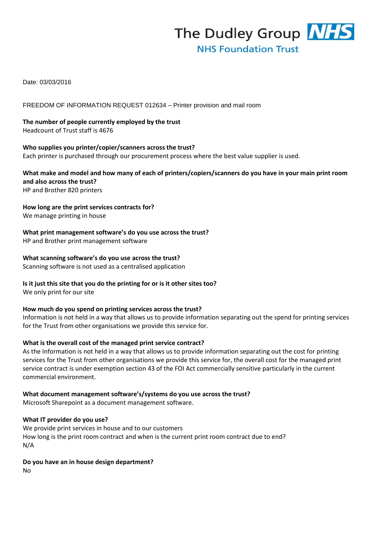The Dudley Group NHS **NHS Foundation Trust** 

Date: 03/03/2016

FREEDOM OF INFORMATION REQUEST 012634 – Printer provision and mail room

**The number of people currently employed by the trust**  Headcount of Trust staff is 4676

**Who supplies you printer/copier/scanners across the trust?**  Each printer is purchased through our procurement process where the best value supplier is used.

**What make and model and how many of each of printers/copiers/scanners do you have in your main print room and also across the trust?**  HP and Brother 820 printers

**How long are the print services contracts for?**  We manage printing in house

**What print management software's do you use across the trust?**  HP and Brother print management software

## **What scanning software's do you use across the trust?**

Scanning software is not used as a centralised application

## **Is it just this site that you do the printing for or is it other sites too?**

We only print for our site

#### **How much do you spend on printing services across the trust?**

Information is not held in a way that allows us to provide information separating out the spend for printing services for the Trust from other organisations we provide this service for.

#### **What is the overall cost of the managed print service contract?**

As the Information is not held in a way that allows us to provide information separating out the cost for printing services for the Trust from other organisations we provide this service for, the overall cost for the managed print service contract is under exemption section 43 of the FOI Act commercially sensitive particularly in the current commercial environment.

**What document management software's/systems do you use across the trust?** 

Microsoft Sharepoint as a document management software.

#### **What IT provider do you use?**

We provide print services in house and to our customers How long is the print room contract and when is the current print room contract due to end? N/A

**Do you have an in house design department?** 

No